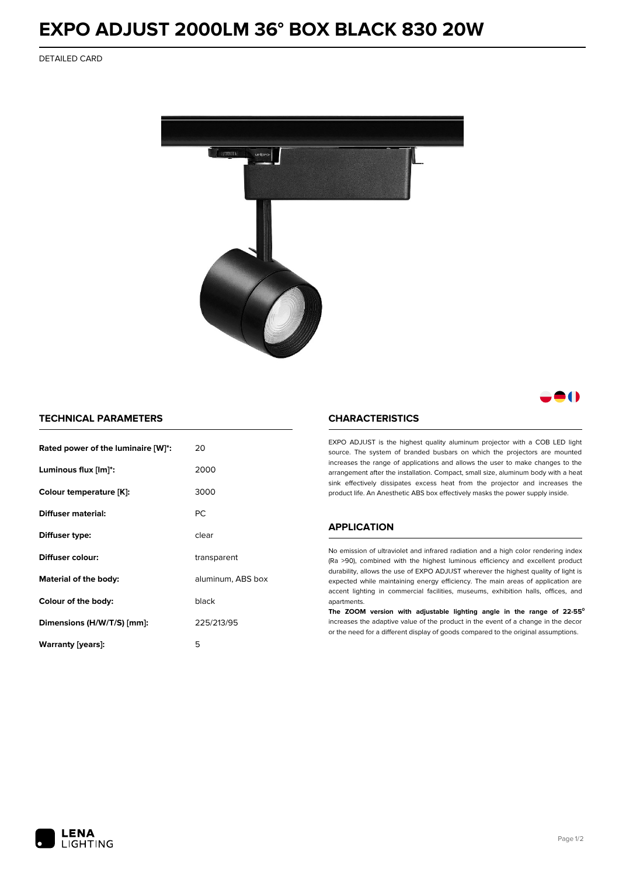# **EXPO ADJUST 2000LM 36° BOX BLACK 830 20W**

DETAILED CARD



# 80

## **TECHNICAL PARAMETERS**

| Rated power of the luminaire [W]*: | 20                |  |
|------------------------------------|-------------------|--|
| Luminous flux [lm]*:               | 2000              |  |
| Colour temperature [K]:            | 3000              |  |
| Diffuser material:                 | РC                |  |
| Diffuser type:                     | clear             |  |
| Diffuser colour:                   | transparent       |  |
| Material of the body:              | aluminum, ABS box |  |
| Colour of the body:                | black             |  |
| Dimensions (H/W/T/S) [mm]:         | 225/213/95        |  |
| Warranty (years):                  | 5                 |  |

#### **CHARACTERISTICS**

EXPO ADJUST is the highest quality aluminum projector with a COB LED light source. The system of branded busbars on which the projectors are mounted increases the range of applications and allows the user to make changes to the arrangement after the installation. Compact, small size, aluminum body with a heat sink effectively dissipates excess heat from the projector and increases the product life. An Anesthetic ABS box effectively masks the power supply inside.

### **APPLICATION**

No emission of ultraviolet and infrared radiation and a high color rendering index (Ra >90), combined with the highest luminous efficiency and excellent product durability, allows the use of EXPO ADJUST wherever the highest quality of light is expected while maintaining energy efficiency. The main areas of application are accent lighting in commercial facilities, museums, exhibition halls, offices, and apartments.

**The ZOOM version with adjustable lighting angle in the range of 22-55⁰** increases the adaptive value of the product in the event of a change in the decor or the need for a different display of goods compared to the original assumptions.